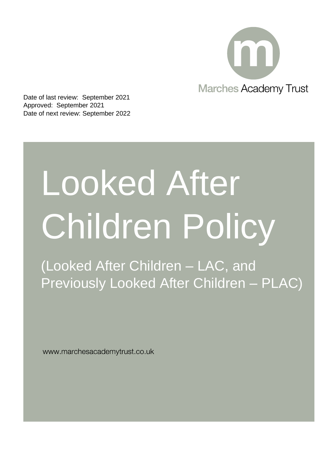

Date of last review: September 2021 Approved: September 2021 Date of next review: September 2022

# Looked After Children Policy

(Looked After Children – LAC, and Previously Looked After Children – PLAC)

www.marchesacademytrust.co.uk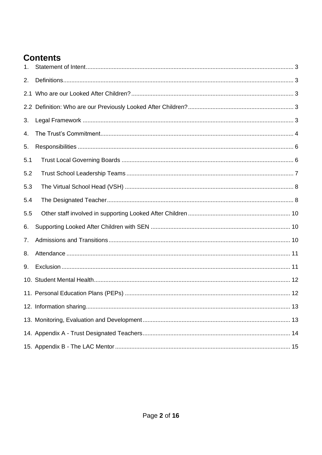# **Contents**

| 1.  |  |
|-----|--|
| 2.  |  |
| 2.1 |  |
|     |  |
| 3.  |  |
| 4.  |  |
| 5.  |  |
| 5.1 |  |
| 5.2 |  |
| 5.3 |  |
| 5.4 |  |
| 5.5 |  |
| 6.  |  |
| 7.  |  |
| 8.  |  |
| 9.  |  |
|     |  |
|     |  |
|     |  |
|     |  |
|     |  |
|     |  |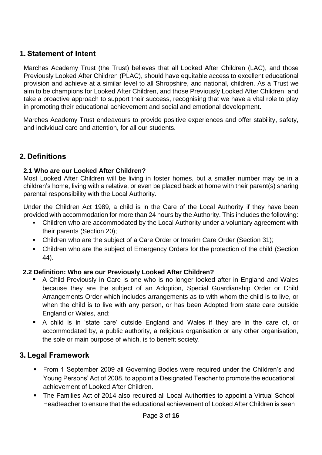# <span id="page-2-0"></span>**1. Statement of Intent**

Marches Academy Trust (the Trust) believes that all Looked After Children (LAC), and those Previously Looked After Children (PLAC), should have equitable access to excellent educational provision and achieve at a similar level to all Shropshire, and national, children. As a Trust we aim to be champions for Looked After Children, and those Previously Looked After Children, and take a proactive approach to support their success, recognising that we have a vital role to play in promoting their educational achievement and social and emotional development.

Marches Academy Trust endeavours to provide positive experiences and offer stability, safety, and individual care and attention, for all our students.

### <span id="page-2-1"></span>**2. Definitions**

### <span id="page-2-2"></span>**2.1 Who are our Looked After Children?**

Most Looked After Children will be living in foster homes, but a smaller number may be in a children's home, living with a relative, or even be placed back at home with their parent(s) sharing parental responsibility with the Local Authority.

Under the Children Act 1989, a child is in the Care of the Local Authority if they have been provided with accommodation for more than 24 hours by the Authority. This includes the following:

- Children who are accommodated by the Local Authority under a voluntary agreement with their parents (Section 20);
- Children who are the subject of a Care Order or Interim Care Order (Section 31);
- Children who are the subject of Emergency Orders for the protection of the child (Section 44).

### <span id="page-2-3"></span>**2.2 Definition: Who are our Previously Looked After Children?**

- A Child Previously in Care is one who is no longer looked after in England and Wales because they are the subject of an Adoption, Special Guardianship Order or Child Arrangements Order which includes arrangements as to with whom the child is to live, or when the child is to live with any person, or has been Adopted from state care outside England or Wales, and;
- A child is in 'state care' outside England and Wales if they are in the care of, or accommodated by, a public authority, a religious organisation or any other organisation, the sole or main purpose of which, is to benefit society.

### <span id="page-2-4"></span>**3. Legal Framework**

- From 1 September 2009 all Governing Bodies were required under the Children's and Young Persons' Act of 2008, to appoint a Designated Teacher to promote the educational achievement of Looked After Children.
- The Families Act of 2014 also required all Local Authorities to appoint a Virtual School Headteacher to ensure that the educational achievement of Looked After Children is seen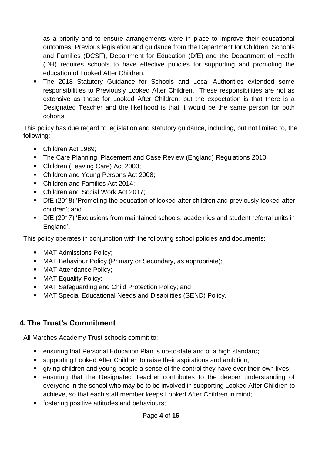as a priority and to ensure arrangements were in place to improve their educational outcomes. Previous legislation and guidance from the Department for Children, Schools and Families (DCSF), Department for Education (DfE) and the Department of Health (DH) requires schools to have effective policies for supporting and promoting the education of Looked After Children.

**•** The 2018 Statutory Guidance for Schools and Local Authorities extended some responsibilities to Previously Looked After Children. These responsibilities are not as extensive as those for Looked After Children, but the expectation is that there is a Designated Teacher and the likelihood is that it would be the same person for both cohorts.

This policy has due regard to legislation and statutory guidance, including, but not limited to, the following:

- Children Act 1989;
- **The Care Planning, Placement and Case Review (England) Regulations 2010;**
- Children (Leaving Care) Act 2000;
- Children and Young Persons Act 2008;
- Children and Families Act 2014;
- Children and Social Work Act 2017;
- DfE (2018) 'Promoting the education of looked-after children and previously looked-after children'; and
- DfE (2017) 'Exclusions from maintained schools, academies and student referral units in England'.

This policy operates in conjunction with the following school policies and documents:

- MAT Admissions Policy;
- MAT Behaviour Policy (Primary or Secondary, as appropriate);
- MAT Attendance Policy;
- **■** MAT Equality Policy;
- MAT Safeguarding and Child Protection Policy; and
- MAT Special Educational Needs and Disabilities (SEND) Policy.

# <span id="page-3-0"></span>**4. The Trust's Commitment**

All Marches Academy Trust schools commit to:

- ensuring that Personal Education Plan is up-to-date and of a high standard;
- supporting Looked After Children to raise their aspirations and ambition;
- giving children and young people a sense of the control they have over their own lives;
- ensuring that the Designated Teacher contributes to the deeper understanding of everyone in the school who may be to be involved in supporting Looked After Children to achieve, so that each staff member keeps Looked After Children in mind;
- fostering positive attitudes and behaviours;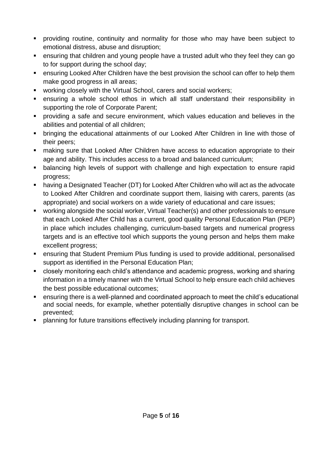- providing routine, continuity and normality for those who may have been subject to emotional distress, abuse and disruption;
- ensuring that children and young people have a trusted adult who they feel they can go to for support during the school day;
- ensuring Looked After Children have the best provision the school can offer to help them make good progress in all areas;
- working closely with the Virtual School, carers and social workers;
- ensuring a whole school ethos in which all staff understand their responsibility in supporting the role of Corporate Parent;
- **•** providing a safe and secure environment, which values education and believes in the abilities and potential of all children;
- bringing the educational attainments of our Looked After Children in line with those of their peers;
- making sure that Looked After Children have access to education appropriate to their age and ability. This includes access to a broad and balanced curriculum;
- balancing high levels of support with challenge and high expectation to ensure rapid progress;
- having a Designated Teacher (DT) for Looked After Children who will act as the advocate to Looked After Children and coordinate support them, liaising with carers, parents (as appropriate) and social workers on a wide variety of educational and care issues;
- working alongside the social worker, Virtual Teacher(s) and other professionals to ensure that each Looked After Child has a current, good quality Personal Education Plan (PEP) in place which includes challenging, curriculum-based targets and numerical progress targets and is an effective tool which supports the young person and helps them make excellent progress;
- ensuring that Student Premium Plus funding is used to provide additional, personalised support as identified in the Personal Education Plan;
- closely monitoring each child's attendance and academic progress, working and sharing information in a timely manner with the Virtual School to help ensure each child achieves the best possible educational outcomes;
- ensuring there is a well-planned and coordinated approach to meet the child's educational and social needs, for example, whether potentially disruptive changes in school can be prevented;
- planning for future transitions effectively including planning for transport.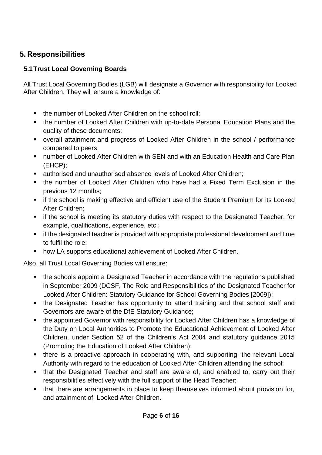# <span id="page-5-0"></span>**5. Responsibilities**

## <span id="page-5-1"></span>**5.1Trust Local Governing Boards**

All Trust Local Governing Bodies (LGB) will designate a Governor with responsibility for Looked After Children. They will ensure a knowledge of:

- the number of Looked After Children on the school roll:
- the number of Looked After Children with up-to-date Personal Education Plans and the quality of these documents;
- overall attainment and progress of Looked After Children in the school / performance compared to peers;
- number of Looked After Children with SEN and with an Education Health and Care Plan (EHCP);
- authorised and unauthorised absence levels of Looked After Children;
- the number of Looked After Children who have had a Fixed Term Exclusion in the previous 12 months;
- **EXT** if the school is making effective and efficient use of the Student Premium for its Looked After Children;
- **EXECT** if the school is meeting its statutory duties with respect to the Designated Teacher, for example, qualifications, experience, etc.;
- if the designated teacher is provided with appropriate professional development and time to fulfil the role;
- how LA supports educational achievement of Looked After Children.

Also, all Trust Local Governing Bodies will ensure:

- the schools appoint a Designated Teacher in accordance with the regulations published in September 2009 (DCSF, The Role and Responsibilities of the Designated Teacher for Looked After Children: Statutory Guidance for School Governing Bodies [2009]);
- the Designated Teacher has opportunity to attend training and that school staff and Governors are aware of the DfE Statutory Guidance;
- the appointed Governor with responsibility for Looked After Children has a knowledge of the Duty on Local Authorities to Promote the Educational Achievement of Looked After Children, under Section 52 of the Children's Act 2004 and statutory guidance 2015 (Promoting the Education of Looked After Children);
- **.** there is a proactive approach in cooperating with, and supporting, the relevant Local Authority with regard to the education of Looked After Children attending the school;
- that the Designated Teacher and staff are aware of, and enabled to, carry out their responsibilities effectively with the full support of the Head Teacher;
- that there are arrangements in place to keep themselves informed about provision for, and attainment of, Looked After Children.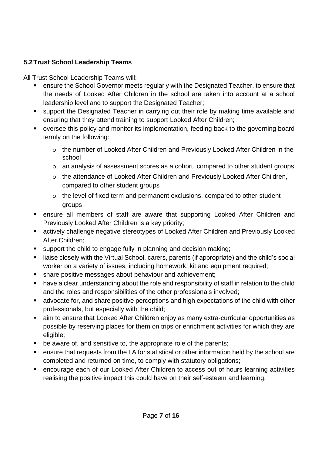## <span id="page-6-0"></span>**5.2Trust School Leadership Teams**

All Trust School Leadership Teams will:

- ensure the School Governor meets regularly with the Designated Teacher, to ensure that the needs of Looked After Children in the school are taken into account at a school leadership level and to support the Designated Teacher;
- support the Designated Teacher in carrying out their role by making time available and ensuring that they attend training to support Looked After Children;
- oversee this policy and monitor its implementation, feeding back to the governing board termly on the following:
	- o the number of Looked After Children and Previously Looked After Children in the school
	- o an analysis of assessment scores as a cohort, compared to other student groups
	- o the attendance of Looked After Children and Previously Looked After Children, compared to other student groups
	- o the level of fixed term and permanent exclusions, compared to other student groups
- ensure all members of staff are aware that supporting Looked After Children and Previously Looked After Children is a key priority;
- actively challenge negative stereotypes of Looked After Children and Previously Looked After Children;
- support the child to engage fully in planning and decision making;
- liaise closely with the Virtual School, carers, parents (if appropriate) and the child's social worker on a variety of issues, including homework, kit and equipment required;
- share positive messages about behaviour and achievement;
- have a clear understanding about the role and responsibility of staff in relation to the child and the roles and responsibilities of the other professionals involved;
- advocate for, and share positive perceptions and high expectations of the child with other professionals, but especially with the child;
- aim to ensure that Looked After Children enjoy as many extra-curricular opportunities as possible by reserving places for them on trips or enrichment activities for which they are eligible;
- be aware of, and sensitive to, the appropriate role of the parents;
- ensure that requests from the LA for statistical or other information held by the school are completed and returned on time, to comply with statutory obligations;
- encourage each of our Looked After Children to access out of hours learning activities realising the positive impact this could have on their self-esteem and learning.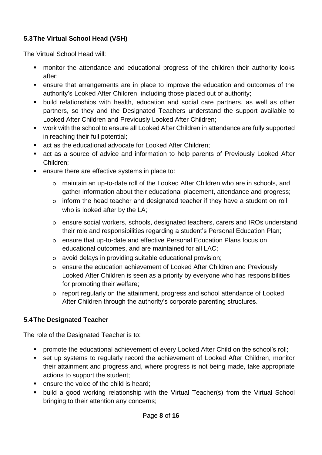### <span id="page-7-0"></span>**5.3The Virtual School Head (VSH)**

The Virtual School Head will:

- monitor the attendance and educational progress of the children their authority looks after;
- ensure that arrangements are in place to improve the education and outcomes of the authority's Looked After Children, including those placed out of authority;
- **E** build relationships with health, education and social care partners, as well as other partners, so they and the Designated Teachers understand the support available to Looked After Children and Previously Looked After Children;
- work with the school to ensure all Looked After Children in attendance are fully supported in reaching their full potential;
- act as the educational advocate for Looked After Children:
- act as a source of advice and information to help parents of Previously Looked After Children;
- ensure there are effective systems in place to:
	- o maintain an up-to-date roll of the Looked After Children who are in schools, and gather information about their educational placement, attendance and progress;
	- o inform the head teacher and designated teacher if they have a student on roll who is looked after by the LA;
	- o ensure social workers, schools, designated teachers, carers and IROs understand their role and responsibilities regarding a student's Personal Education Plan;
	- o ensure that up-to-date and effective Personal Education Plans focus on educational outcomes, and are maintained for all LAC;
	- o avoid delays in providing suitable educational provision;
	- o ensure the education achievement of Looked After Children and Previously Looked After Children is seen as a priority by everyone who has responsibilities for promoting their welfare;
	- o report regularly on the attainment, progress and school attendance of Looked After Children through the authority's corporate parenting structures.

### <span id="page-7-1"></span>**5.4The Designated Teacher**

The role of the Designated Teacher is to:

- **•** promote the educational achievement of every Looked After Child on the school's roll;
- set up systems to regularly record the achievement of Looked After Children, monitor their attainment and progress and, where progress is not being made, take appropriate actions to support the student;
- ensure the voice of the child is heard;
- build a good working relationship with the Virtual Teacher(s) from the Virtual School bringing to their attention any concerns;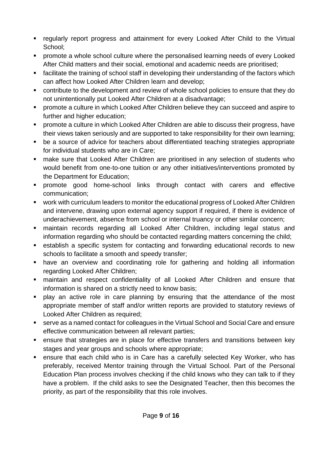- **•** regularly report progress and attainment for every Looked After Child to the Virtual School;
- **•** promote a whole school culture where the personalised learning needs of every Looked After Child matters and their social, emotional and academic needs are prioritised;
- facilitate the training of school staff in developing their understanding of the factors which can affect how Looked After Children learn and develop;
- contribute to the development and review of whole school policies to ensure that they do not unintentionally put Looked After Children at a disadvantage;
- promote a culture in which Looked After Children believe they can succeed and aspire to further and higher education;
- promote a culture in which Looked After Children are able to discuss their progress, have their views taken seriously and are supported to take responsibility for their own learning;
- be a source of advice for teachers about differentiated teaching strategies appropriate for individual students who are in Care;
- make sure that Looked After Children are prioritised in any selection of students who would benefit from one-to-one tuition or any other initiatives/interventions promoted by the Department for Education;
- promote good home-school links through contact with carers and effective communication;
- work with curriculum leaders to monitor the educational progress of Looked After Children and intervene, drawing upon external agency support if required, if there is evidence of underachievement, absence from school or internal truancy or other similar concern;
- maintain records regarding all Looked After Children, including legal status and information regarding who should be contacted regarding matters concerning the child;
- establish a specific system for contacting and forwarding educational records to new schools to facilitate a smooth and speedy transfer;
- **■** have an overview and coordinating role for gathering and holding all information regarding Looked After Children;
- maintain and respect confidentiality of all Looked After Children and ensure that information is shared on a strictly need to know basis;
- play an active role in care planning by ensuring that the attendance of the most appropriate member of staff and/or written reports are provided to statutory reviews of Looked After Children as required;
- serve as a named contact for colleagues in the Virtual School and Social Care and ensure effective communication between all relevant parties;
- ensure that strategies are in place for effective transfers and transitions between key stages and year groups and schools where appropriate;
- ensure that each child who is in Care has a carefully selected Key Worker, who has preferably, received Mentor training through the Virtual School. Part of the Personal Education Plan process involves checking if the child knows who they can talk to if they have a problem. If the child asks to see the Designated Teacher, then this becomes the priority, as part of the responsibility that this role involves.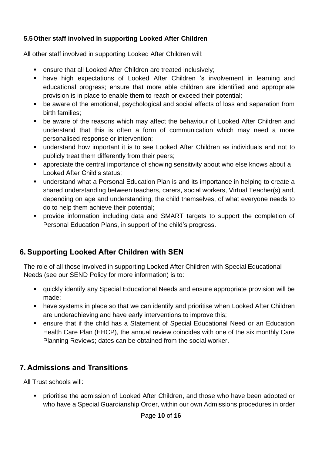### <span id="page-9-0"></span>**5.5Other staff involved in supporting Looked After Children**

All other staff involved in supporting Looked After Children will:

- ensure that all Looked After Children are treated inclusively;
- have high expectations of Looked After Children 's involvement in learning and educational progress; ensure that more able children are identified and appropriate provision is in place to enable them to reach or exceed their potential;
- be aware of the emotional, psychological and social effects of loss and separation from birth families;
- be aware of the reasons which may affect the behaviour of Looked After Children and understand that this is often a form of communication which may need a more personalised response or intervention;
- understand how important it is to see Looked After Children as individuals and not to publicly treat them differently from their peers;
- appreciate the central importance of showing sensitivity about who else knows about a Looked After Child's status;
- understand what a Personal Education Plan is and its importance in helping to create a shared understanding between teachers, carers, social workers, Virtual Teacher(s) and, depending on age and understanding, the child themselves, of what everyone needs to do to help them achieve their potential;
- provide information including data and SMART targets to support the completion of Personal Education Plans, in support of the child's progress.

# <span id="page-9-1"></span>**6. Supporting Looked After Children with SEN**

The role of all those involved in supporting Looked After Children with Special Educational Needs (see our SEND Policy for more information) is to:

- quickly identify any Special Educational Needs and ensure appropriate provision will be made;
- have systems in place so that we can identify and prioritise when Looked After Children are underachieving and have early interventions to improve this;
- ensure that if the child has a Statement of Special Educational Need or an Education Health Care Plan (EHCP), the annual review coincides with one of the six monthly Care Planning Reviews; dates can be obtained from the social worker.

# <span id="page-9-2"></span>**7. Admissions and Transitions**

All Trust schools will:

**•** prioritise the admission of Looked After Children, and those who have been adopted or who have a Special Guardianship Order, within our own Admissions procedures in order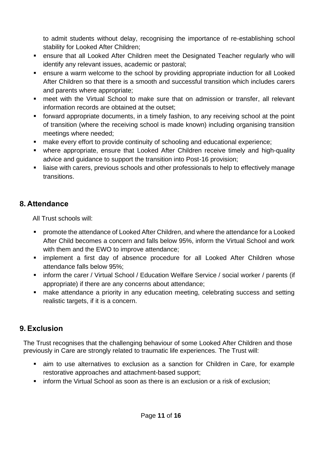to admit students without delay, recognising the importance of re-establishing school stability for Looked After Children;

- ensure that all Looked After Children meet the Designated Teacher regularly who will identify any relevant issues, academic or pastoral;
- ensure a warm welcome to the school by providing appropriate induction for all Looked After Children so that there is a smooth and successful transition which includes carers and parents where appropriate;
- meet with the Virtual School to make sure that on admission or transfer, all relevant information records are obtained at the outset;
- forward appropriate documents, in a timely fashion, to any receiving school at the point of transition (where the receiving school is made known) including organising transition meetings where needed;
- make every effort to provide continuity of schooling and educational experience;
- **■** where appropriate, ensure that Looked After Children receive timely and high-quality advice and guidance to support the transition into Post-16 provision;
- liaise with carers, previous schools and other professionals to help to effectively manage transitions.

# <span id="page-10-0"></span>**8. Attendance**

All Trust schools will:

- promote the attendance of Looked After Children, and where the attendance for a Looked After Child becomes a concern and falls below 95%, inform the Virtual School and work with them and the EWO to improve attendance;
- **EX implement a first day of absence procedure for all Looked After Children whose** attendance falls below 95%;
- **EX inform the carer / Virtual School / Education Welfare Service / social worker / parents (if** appropriate) if there are any concerns about attendance;
- make attendance a priority in any education meeting, celebrating success and setting realistic targets, if it is a concern.

# <span id="page-10-1"></span>**9. Exclusion**

The Trust recognises that the challenging behaviour of some Looked After Children and those previously in Care are strongly related to traumatic life experiences. The Trust will:

- aim to use alternatives to exclusion as a sanction for Children in Care, for example restorative approaches and attachment-based support;
- **EXEDEE IS inform the Virtual School as soon as there is an exclusion or a risk of exclusion;**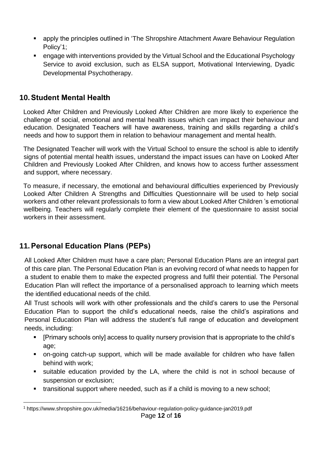- apply the principles outlined in 'The Shropshire Attachment Aware Behaviour Regulation Policy'1;
- engage with interventions provided by the Virtual School and the Educational Psychology Service to avoid exclusion, such as ELSA support, Motivational Interviewing, Dyadic Developmental Psychotherapy.

# <span id="page-11-0"></span>**10.Student Mental Health**

Looked After Children and Previously Looked After Children are more likely to experience the challenge of social, emotional and mental health issues which can impact their behaviour and education. Designated Teachers will have awareness, training and skills regarding a child's needs and how to support them in relation to behaviour management and mental health.

The Designated Teacher will work with the Virtual School to ensure the school is able to identify signs of potential mental health issues, understand the impact issues can have on Looked After Children and Previously Looked After Children, and knows how to access further assessment and support, where necessary.

To measure, if necessary, the emotional and behavioural difficulties experienced by Previously Looked After Children A Strengths and Difficulties Questionnaire will be used to help social workers and other relevant professionals to form a view about Looked After Children 's emotional wellbeing. Teachers will regularly complete their element of the questionnaire to assist social workers in their assessment.

# <span id="page-11-1"></span>**11.Personal Education Plans (PEPs)**

All Looked After Children must have a care plan; Personal Education Plans are an integral part of this care plan. The Personal Education Plan is an evolving record of what needs to happen for a student to enable them to make the expected progress and fulfil their potential. The Personal Education Plan will reflect the importance of a personalised approach to learning which meets the identified educational needs of the child.

All Trust schools will work with other professionals and the child's carers to use the Personal Education Plan to support the child's educational needs, raise the child's aspirations and Personal Education Plan will address the student's full range of education and development needs, including:

- [Primary schools only] access to quality nursery provision that is appropriate to the child's age;
- on-going catch-up support, which will be made available for children who have fallen behind with work;
- suitable education provided by the LA, where the child is not in school because of suspension or exclusion;
- **•** transitional support where needed, such as if a child is moving to a new school;

<sup>1</sup> https://www.shropshire.gov.uk/media/16216/behaviour-regulation-policy-guidance-jan2019.pdf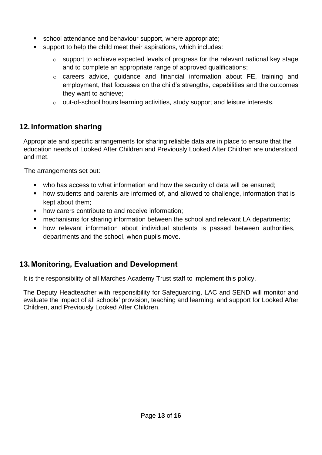- school attendance and behaviour support, where appropriate;
- support to help the child meet their aspirations, which includes:
	- $\circ$  support to achieve expected levels of progress for the relevant national key stage and to complete an appropriate range of approved qualifications;
	- o careers advice, guidance and financial information about FE, training and employment, that focusses on the child's strengths, capabilities and the outcomes they want to achieve;
	- o out-of-school hours learning activities, study support and leisure interests.

# <span id="page-12-0"></span>**12.Information sharing**

Appropriate and specific arrangements for sharing reliable data are in place to ensure that the education needs of Looked After Children and Previously Looked After Children are understood and met.

The arrangements set out:

- who has access to what information and how the security of data will be ensured;
- how students and parents are informed of, and allowed to challenge, information that is kept about them;
- how carers contribute to and receive information;
- mechanisms for sharing information between the school and relevant LA departments;
- how relevant information about individual students is passed between authorities, departments and the school, when pupils move.

# <span id="page-12-1"></span>**13.Monitoring, Evaluation and Development**

It is the responsibility of all Marches Academy Trust staff to implement this policy.

The Deputy Headteacher with responsibility for Safeguarding, LAC and SEND will monitor and evaluate the impact of all schools' provision, teaching and learning, and support for Looked After Children, and Previously Looked After Children.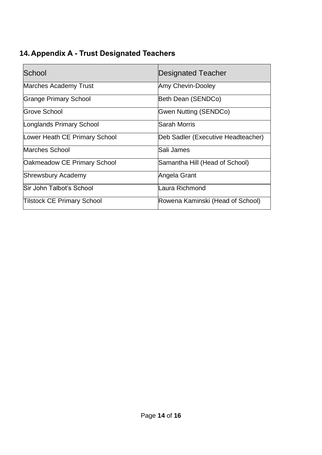# <span id="page-13-0"></span>**14.Appendix A - Trust Designated Teachers**

| School                             | <b>Designated Teacher</b>          |
|------------------------------------|------------------------------------|
| <b>Marches Academy Trust</b>       | <b>Amy Chevin-Dooley</b>           |
| <b>Grange Primary School</b>       | Beth Dean (SENDCo)                 |
| Grove School                       | Gwen Nutting (SENDCo)              |
| Longlands Primary School           | lSarah Morris                      |
| Lower Heath CE Primary School      | Deb Sadler (Executive Headteacher) |
| Marches School                     | Sali James                         |
| <b>Oakmeadow CE Primary School</b> | Samantha Hill (Head of School)     |
| <b>Shrewsbury Academy</b>          | Angela Grant                       |
| lSir John Talbot's School          | Laura Richmond                     |
| <b>Tilstock CE Primary School</b>  | Rowena Kaminski (Head of School)   |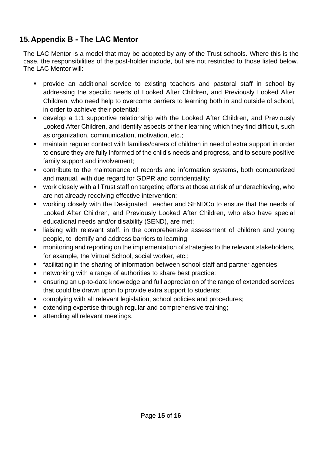# <span id="page-14-0"></span>**15.Appendix B - The LAC Mentor**

The LAC Mentor is a model that may be adopted by any of the Trust schools. Where this is the case, the responsibilities of the post-holder include, but are not restricted to those listed below. The LAC Mentor will:

- provide an additional service to existing teachers and pastoral staff in school by addressing the specific needs of Looked After Children, and Previously Looked After Children, who need help to overcome barriers to learning both in and outside of school, in order to achieve their potential;
- **E** develop a 1:1 supportive relationship with the Looked After Children, and Previously Looked After Children, and identify aspects of their learning which they find difficult, such as organization, communication, motivation, etc.;
- maintain regular contact with families/carers of children in need of extra support in order to ensure they are fully informed of the child's needs and progress, and to secure positive family support and involvement;
- contribute to the maintenance of records and information systems, both computerized and manual, with due regard for GDPR and confidentiality;
- work closely with all Trust staff on targeting efforts at those at risk of underachieving, who are not already receiving effective intervention;
- working closely with the Designated Teacher and SENDCo to ensure that the needs of Looked After Children, and Previously Looked After Children, who also have special educational needs and/or disability (SEND), are met;
- liaising with relevant staff, in the comprehensive assessment of children and young people, to identify and address barriers to learning;
- monitoring and reporting on the implementation of strategies to the relevant stakeholders, for example, the Virtual School, social worker, etc.;
- facilitating in the sharing of information between school staff and partner agencies;
- networking with a range of authorities to share best practice;
- ensuring an up-to-date knowledge and full appreciation of the range of extended services that could be drawn upon to provide extra support to students;
- complying with all relevant legislation, school policies and procedures;
- extending expertise through regular and comprehensive training;
- attending all relevant meetings.